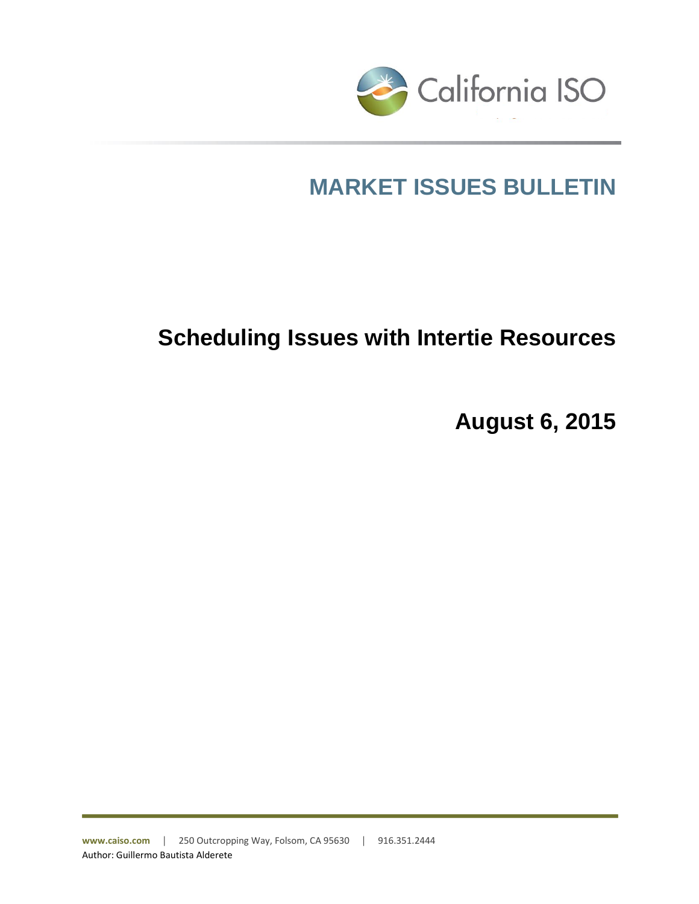

# **MARKET ISSUES BULLETIN**

## **Scheduling Issues with Intertie Resources**

**August 6, 2015**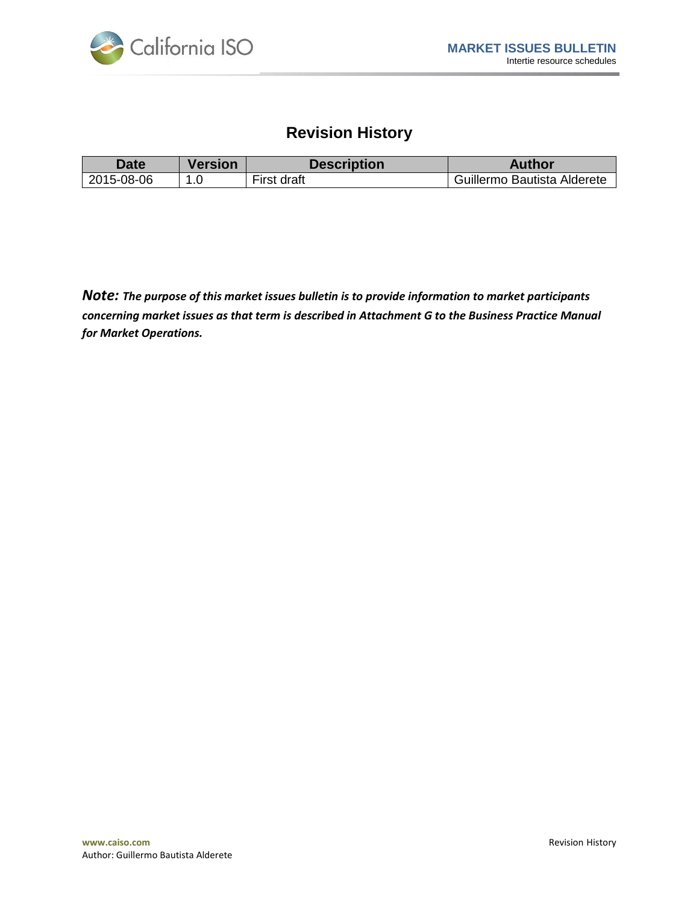

## **Revision History**

| Date i     | <b>Version</b> | <b>Description</b> | <b>Author</b>               |
|------------|----------------|--------------------|-----------------------------|
| 2015-08-06 |                | First draft        | Guillermo Bautista Alderete |

*Note: The purpose of this market issues bulletin is to provide information to market participants concerning market issues as that term is described in Attachment G to the Business Practice Manual for Market Operations.*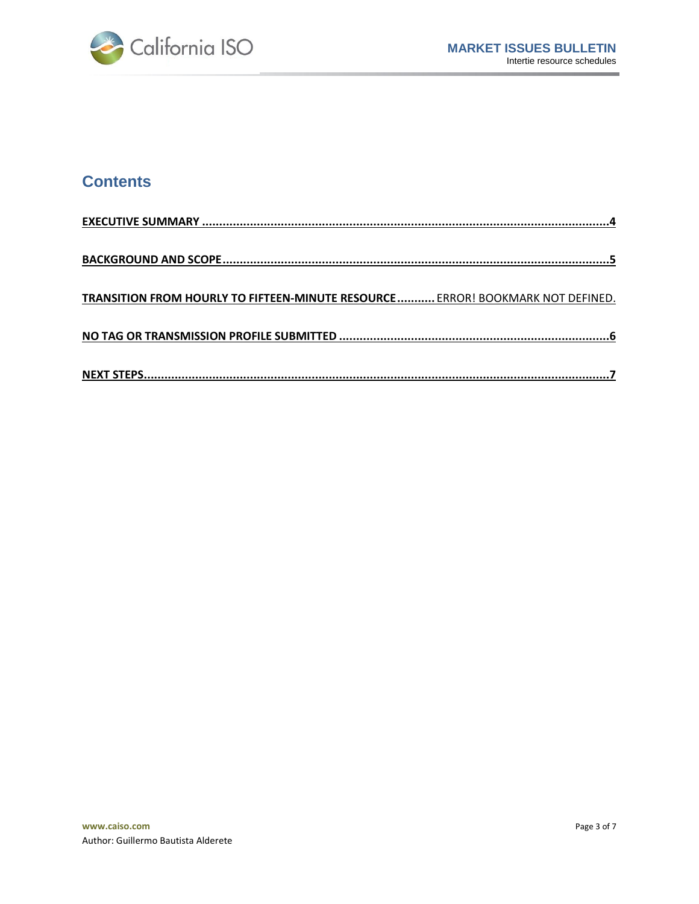

## **Contents**

| TRANSITION FROM HOURLY TO FIFTEEN-MINUTE RESOURCE ERROR! BOOKMARK NOT DEFINED. |
|--------------------------------------------------------------------------------|
|                                                                                |
|                                                                                |
|                                                                                |
|                                                                                |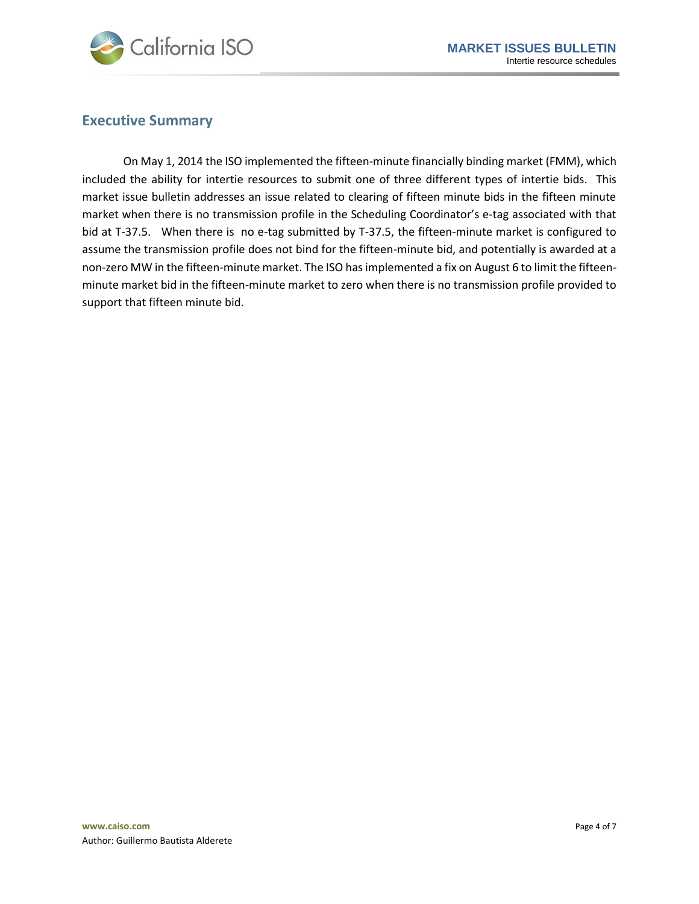

#### <span id="page-3-0"></span>**Executive Summary**

On May 1, 2014 the ISO implemented the fifteen-minute financially binding market (FMM), which included the ability for intertie resources to submit one of three different types of intertie bids. This market issue bulletin addresses an issue related to clearing of fifteen minute bids in the fifteen minute market when there is no transmission profile in the Scheduling Coordinator's e-tag associated with that bid at T-37.5. When there is no e-tag submitted by T-37.5, the fifteen-minute market is configured to assume the transmission profile does not bind for the fifteen-minute bid, and potentially is awarded at a non-zero MW in the fifteen-minute market. The ISO has implemented a fix on August 6 to limit the fifteenminute market bid in the fifteen-minute market to zero when there is no transmission profile provided to support that fifteen minute bid.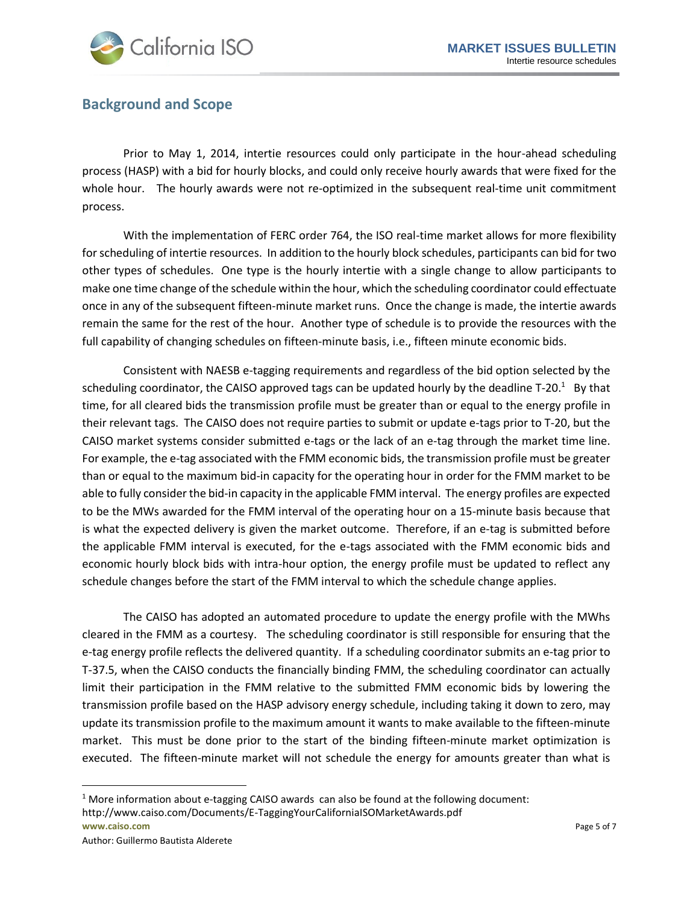

#### <span id="page-4-0"></span>**Background and Scope**

Prior to May 1, 2014, intertie resources could only participate in the hour-ahead scheduling process (HASP) with a bid for hourly blocks, and could only receive hourly awards that were fixed for the whole hour. The hourly awards were not re-optimized in the subsequent real-time unit commitment process.

With the implementation of FERC order 764, the ISO real-time market allows for more flexibility for scheduling of intertie resources. In addition to the hourly block schedules, participants can bid for two other types of schedules. One type is the hourly intertie with a single change to allow participants to make one time change of the schedule within the hour, which the scheduling coordinator could effectuate once in any of the subsequent fifteen-minute market runs. Once the change is made, the intertie awards remain the same for the rest of the hour. Another type of schedule is to provide the resources with the full capability of changing schedules on fifteen-minute basis, i.e., fifteen minute economic bids.

Consistent with NAESB e-tagging requirements and regardless of the bid option selected by the scheduling coordinator, the CAISO approved tags can be updated hourly by the deadline T-20.<sup>1</sup> By that time, for all cleared bids the transmission profile must be greater than or equal to the energy profile in their relevant tags. The CAISO does not require parties to submit or update e-tags prior to T-20, but the CAISO market systems consider submitted e-tags or the lack of an e-tag through the market time line. For example, the e-tag associated with the FMM economic bids, the transmission profile must be greater than or equal to the maximum bid-in capacity for the operating hour in order for the FMM market to be able to fully consider the bid-in capacity in the applicable FMM interval. The energy profiles are expected to be the MWs awarded for the FMM interval of the operating hour on a 15-minute basis because that is what the expected delivery is given the market outcome. Therefore, if an e-tag is submitted before the applicable FMM interval is executed, for the e-tags associated with the FMM economic bids and economic hourly block bids with intra-hour option, the energy profile must be updated to reflect any schedule changes before the start of the FMM interval to which the schedule change applies.

The CAISO has adopted an automated procedure to update the energy profile with the MWhs cleared in the FMM as a courtesy. The scheduling coordinator is still responsible for ensuring that the e-tag energy profile reflects the delivered quantity. If a scheduling coordinator submits an e-tag prior to T-37.5, when the CAISO conducts the financially binding FMM, the scheduling coordinator can actually limit their participation in the FMM relative to the submitted FMM economic bids by lowering the transmission profile based on the HASP advisory energy schedule, including taking it down to zero, may update its transmission profile to the maximum amount it wants to make available to the fifteen-minute market. This must be done prior to the start of the binding fifteen-minute market optimization is executed. The fifteen-minute market will not schedule the energy for amounts greater than what is

**www.caiso.com** Page 5 of 7  $1$  More information about e-tagging CAISO awards can also be found at the following document: http://www.caiso.com/Documents/E-TaggingYourCaliforniaISOMarketAwards.pdf

 $\overline{a}$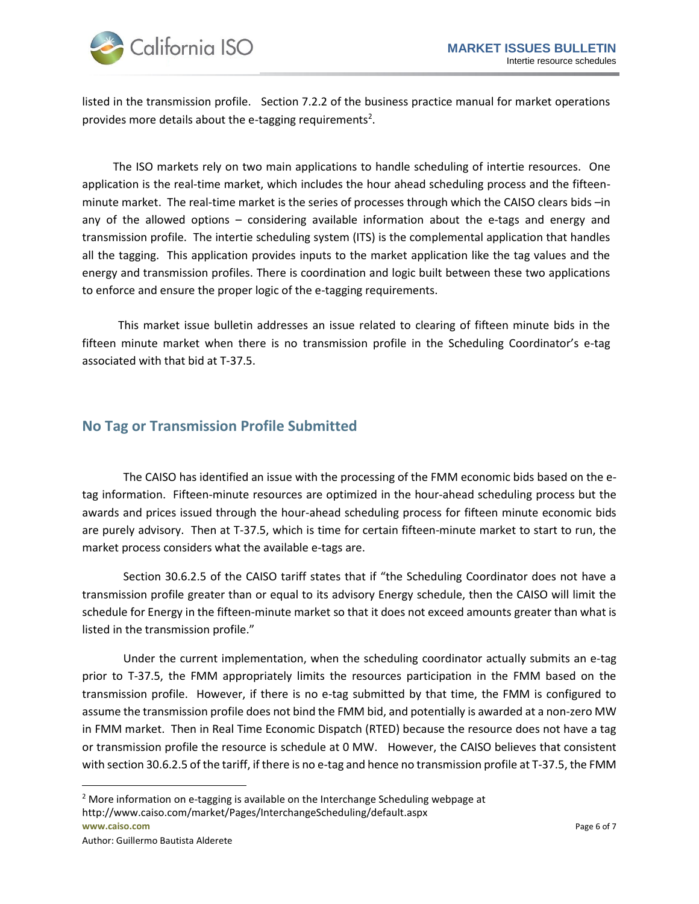

listed in the transmission profile. Section 7.2.2 of the business practice manual for market operations provides more details about the e-tagging requirements<sup>2</sup>.

The ISO markets rely on two main applications to handle scheduling of intertie resources. One application is the real-time market, which includes the hour ahead scheduling process and the fifteenminute market. The real-time market is the series of processes through which the CAISO clears bids –in any of the allowed options – considering available information about the e-tags and energy and transmission profile. The intertie scheduling system (ITS) is the complemental application that handles all the tagging. This application provides inputs to the market application like the tag values and the energy and transmission profiles. There is coordination and logic built between these two applications to enforce and ensure the proper logic of the e-tagging requirements.

This market issue bulletin addresses an issue related to clearing of fifteen minute bids in the fifteen minute market when there is no transmission profile in the Scheduling Coordinator's e-tag associated with that bid at T-37.5.

#### <span id="page-5-0"></span>**No Tag or Transmission Profile Submitted**

The CAISO has identified an issue with the processing of the FMM economic bids based on the etag information. Fifteen-minute resources are optimized in the hour-ahead scheduling process but the awards and prices issued through the hour-ahead scheduling process for fifteen minute economic bids are purely advisory. Then at T-37.5, which is time for certain fifteen-minute market to start to run, the market process considers what the available e-tags are.

Section 30.6.2.5 of the CAISO tariff states that if "the Scheduling Coordinator does not have a transmission profile greater than or equal to its advisory Energy schedule, then the CAISO will limit the schedule for Energy in the fifteen-minute market so that it does not exceed amounts greater than what is listed in the transmission profile."

Under the current implementation, when the scheduling coordinator actually submits an e-tag prior to T-37.5, the FMM appropriately limits the resources participation in the FMM based on the transmission profile. However, if there is no e-tag submitted by that time, the FMM is configured to assume the transmission profile does not bind the FMM bid, and potentially is awarded at a non-zero MW in FMM market. Then in Real Time Economic Dispatch (RTED) because the resource does not have a tag or transmission profile the resource is schedule at 0 MW. However, the CAISO believes that consistent with section 30.6.2.5 of the tariff, if there is no e-tag and hence no transmission profile at T-37.5, the FMM

 $\overline{a}$ 

**www.caiso.com** Page 6 of 7 <sup>2</sup> More information on e-tagging is available on the Interchange Scheduling webpage at http://www.caiso.com/market/Pages/InterchangeScheduling/default.aspx

Author: Guillermo Bautista Alderete